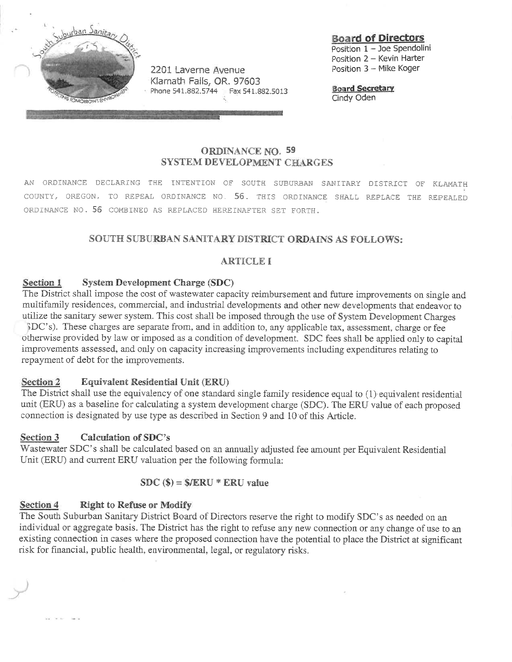

**Board of Directors** 

Position 1 - Joe Spendolini Position 2 - Kevin Harter Position 3 - Mike Koger

**Board Secretary** Cindy Oden

# **ORDINANCE NO. 59 SYSTEM DEVELOPMENT CHARGES**

AN ORDINANCE DECLARING THE INTENTION OF SOUTH SUBURBAN SANITARY DISTRICT OF KLAMATH COUNTY, OREGON, TO REPEAL ORDINANCE NO. 56. THIS ORDINANCE SHALL REPLACE THE REPEALED ORDINANCE NO. 56 COMBINED AS REPLACED HEREINAFTER SET FORTH.

# SOUTH SUBURBAN SANITARY DISTRICT ORDAINS AS FOLLOWS:

### **ARTICLE I**

#### **System Development Charge (SDC)** Section 1

The District shall impose the cost of wastewater capacity reimbursement and future improvements on single and multifamily residences, commercial, and industrial developments and other new developments that endeavor to utilize the sanitary sewer system. This cost shall be imposed through the use of System Development Charges BDC's). These charges are separate from, and in addition to, any applicable tax, assessment, charge or fee otherwise provided by law or imposed as a condition of development. SDC fees shall be applied only to capital improvements assessed, and only on capacity increasing improvements including expenditures relating to repayment of debt for the improvements.

#### Section 2 **Equivalent Residential Unit (ERU)**

The District shall use the equivalency of one standard single family residence equal to (1) equivalent residential unit (ERU) as a baseline for calculating a system development charge (SDC). The ERU value of each proposed connection is designated by use type as described in Section 9 and 10 of this Article.

#### **Calculation of SDC's** Section 3

Wastewater SDC's shall be calculated based on an annually adjusted fee amount per Equivalent Residential Unit (ERU) and current ERU valuation per the following formula:

### $SDC$  (\$) = \$/ERU \* ERU value

#### Section 4 **Right to Refuse or Modify**

The South Suburban Sanitary District Board of Directors reserve the right to modify SDC's as needed on an individual or aggregate basis. The District has the right to refuse any new connection or any change of use to an existing connection in cases where the proposed connection have the potential to place the District at significant risk for financial, public health, environmental, legal, or regulatory risks.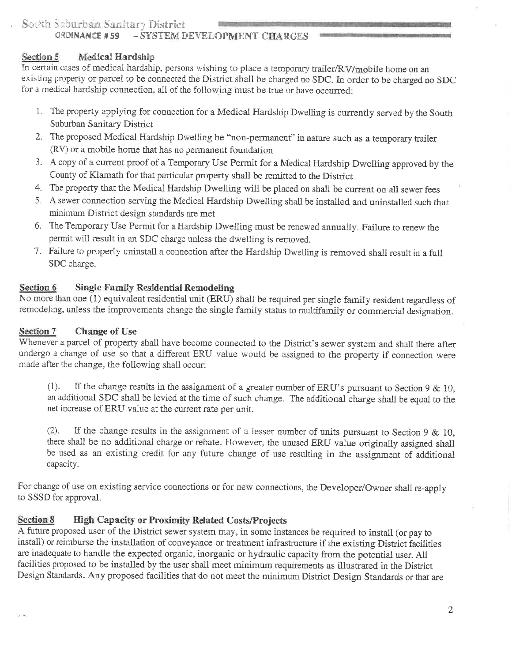#### - SYSTEM DEVELOPMENT CHARGES ORDINANCE #59

#### **Medical Hardship** Section 5

In certain cases of medical hardship, persons wishing to place a temporary trailer/RV/mobile home on an existing property or parcel to be connected the District shall be charged no SDC. In order to be charged no SDC for a medical hardship connection, all of the following must be true or have occurred:

- 1. The property applying for connection for a Medical Hardship Dwelling is currently served by the South Suburban Sanitary District
- 2. The proposed Medical Hardship Dwelling be "non-permanent" in nature such as a temporary trailer (RV) or a mobile home that has no permanent foundation
- 3. A copy of a current proof of a Temporary Use Permit for a Medical Hardship Dwelling approved by the County of Klamath for that particular property shall be remitted to the District
- 4. The property that the Medical Hardship Dwelling will be placed on shall be current on all sewer fees
- 5. A sewer connection serving the Medical Hardship Dwelling shall be installed and uninstalled such that minimum District design standards are met
- 6. The Temporary Use Permit for a Hardship Dwelling must be renewed annually. Failure to renew the permit will result in an SDC charge unless the dwelling is removed.
- 7. Failure to properly uninstall a connection after the Hardship Dwelling is removed shall result in a full SDC charge.

#### Section 6 **Single Family Residential Remodeling**

No more than one (1) equivalent residential unit (ERU) shall be required per single family resident regardless of remodeling, unless the improvements change the single family status to multifamily or commercial designation.

#### Section 7 **Change of Use**

Whenever a parcel of property shall have become connected to the District's sewer system and shall there after undergo a change of use so that a different ERU value would be assigned to the property if connection were made after the change, the following shall occur:

 $(1).$ If the change results in the assignment of a greater number of ERU's pursuant to Section 9 & 10. an additional SDC shall be levied at the time of such change. The additional charge shall be equal to the net increase of ERU value at the current rate per unit.

If the change results in the assignment of a lesser number of units pursuant to Section 9 & 10,  $(2)$ . there shall be no additional charge or rebate. However, the unused ERU value originally assigned shall be used as an existing credit for any future change of use resulting in the assignment of additional capacity.

For change of use on existing service connections or for new connections, the Developer/Owner shall re-apply to SSSD for approval.

#### **Section 8 High Capacity or Proximity Related Costs/Projects**

A future proposed user of the District sewer system may, in some instances be required to install (or pay to install) or reimburse the installation of conveyance or treatment infrastructure if the existing District facilities are inadequate to handle the expected organic, inorganic or hydraulic capacity from the potential user. All facilities proposed to be installed by the user shall meet minimum requirements as illustrated in the District Design Standards. Any proposed facilities that do not meet the minimum District Design Standards or that are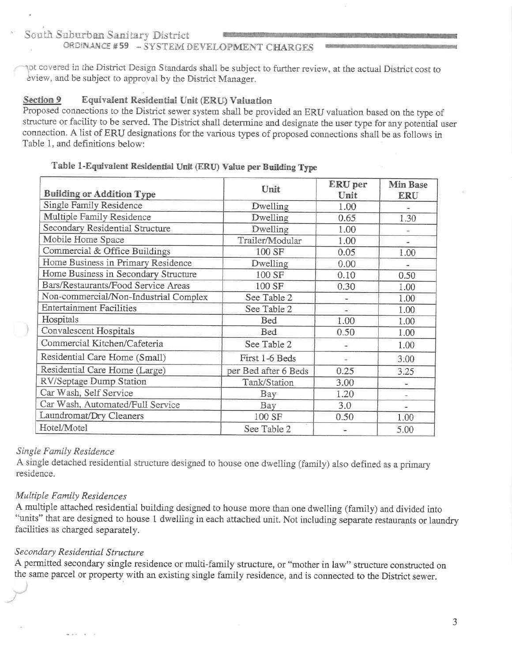# ORDINANCE #59 - SYSTEM DEVELOPMENT CHARGES

not covered in the District Design Standards shall be subject to further review, at the actual District cost to eview, and be subject to approval by the District Manager.

#### Section 9 Equivalent Residential Unit (ERU) Valuation

Proposed connections to the District sewer system shall be provided an ERU valuation based on the type of structure or facility to be served. The District shall determine and designate the user type for any potential user connection. A list of ERU designations for the various types of proposed connections shall be as follows in Table 1, and definitions below:

#### Table 1-Equivalent Residential Unit (ERU) Value per Building Type

| <b>Building or Addition Type</b>      | Unit                 | ERU per<br>Unit | <b>Min Base</b><br><b>ERU</b> |
|---------------------------------------|----------------------|-----------------|-------------------------------|
| Single Family Residence               | Dwelling             | 1.00            |                               |
| Multiple Family Residence             | Dwelling             | 0.65            | 1.30                          |
| Secondary Residential Structure       | Dwelling             | 1.00            |                               |
| Mobile Home Space                     | Trailer/Modular      | 1.00            |                               |
| Commercial & Office Buildings         | 100 SF               | 0.05            | 1.00                          |
| Home Business in Primary Residence    | Dwelling             | 0.00            |                               |
| Home Business in Secondary Structure  | 100 SF               | 0.10            | 0.50                          |
| Bars/Restaurants/Food Service Areas   | 100 SF               | 0.30            | 1.00                          |
| Non-commercial/Non-Industrial Complex | See Table 2          |                 | 1.00                          |
| <b>Entertainment Facilities</b>       | See Table 2          | ÷.              | 1.00                          |
| Hospitals                             | Bed                  | 1.00            | 1.00                          |
| Convalescent Hospitals                | Bed                  | 0.50            | 1.00                          |
| Commercial Kitchen/Cafeteria          | See Table 2          |                 | 1.00                          |
| Residential Care Home (Small)         | First 1-6 Beds       | ٤               | 3.00                          |
| Residential Care Home (Large)         | per Bed after 6 Beds | 0.25            | 3.25                          |
| RV/Septage Dump Station               | Tank/Station         | 3.00            |                               |
| Car Wash, Self Service                | Bay                  | 1.20            |                               |
| Car Wash, Automated/Full Service      | Bay                  | 3.0             | ×                             |
| Laundromat/Dry Cleaners               | 100 SF               | 0.50            | 1.00                          |
| Hotel/Motel                           | See Table 2          |                 | 5.00                          |

#### Single Family Residence

A single detached residential structure designed to house one dwelling (family) also defined as a primary residence.

## Multiple Family Residences

A multiple attached residential building designed to house more than one dwelling (family) and divided into "units" that are designed to house 1 dwelling in each attached unit. Not including separate restaurants or laundry facilities as charged separately.

## Secondary Residential Structure

A permitted secondary single residence or multi-family structure, or "mother in law" structure constructed on the same parcel or property with an existing single family residence, and is connected to the District sewer.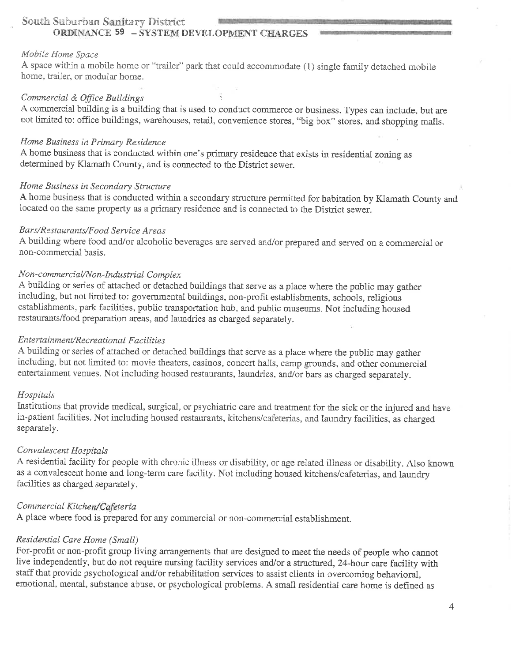## South Suburban Sanitary District **ORDINANCE 59 - SYSTEM DEVELOPMENT CHARGES**

#### Mobile Home Space

A space within a mobile home or "trailer" park that could accommodate (1) single family detached mobile home, trailer, or modular home.

### Commercial & Office Buildings

A commercial building is a building that is used to conduct commerce or business. Types can include, but are not limited to: office buildings, warehouses, retail, convenience stores, "big box" stores, and shopping malls.

#### Home Business in Primary Residence

A home business that is conducted within one's primary residence that exists in residential zoning as determined by Klamath County, and is connected to the District sewer.

#### Home Business in Secondary Structure

A home business that is conducted within a secondary structure permitted for habitation by Klamath County and located on the same property as a primary residence and is connected to the District sewer.

#### Bars/Restaurants/Food Service Areas

A building where food and/or alcoholic beverages are served and/or prepared and served on a commercial or non-commercial basis.

#### Non-commercial/Non-Industrial Complex

A building or series of attached or detached buildings that serve as a place where the public may gather including, but not limited to: governmental buildings, non-profit establishments, schools, religious establishments, park facilities, public transportation hub, and public museums. Not including housed restaurants/food preparation areas, and laundries as charged separately.

#### **Entertainment/Recreational Facilities**

A building or series of attached or detached buildings that serve as a place where the public may gather including, but not limited to: movie theaters, casinos, concert halls, camp grounds, and other commercial entertainment venues. Not including housed restaurants, laundries, and/or bars as charged separately.

#### Hospitals

Institutions that provide medical, surgical, or psychiatric care and treatment for the sick or the injured and have in-patient facilities. Not including housed restaurants, kitchens/cafeterias, and laundry facilities, as charged separately.

#### Convalescent Hospitals

A residential facility for people with chronic illness or disability, or age related illness or disability. Also known as a convalescent home and long-term care facility. Not including housed kitchens/cafeterias, and laundry facilities as charged separately.

#### Commercial Kitchen/Cafeteria

A place where food is prepared for any commercial or non-commercial establishment.

#### Residential Care Home (Small)

For-profit or non-profit group living arrangements that are designed to meet the needs of people who cannot live independently, but do not require nursing facility services and/or a structured, 24-hour care facility with staff that provide psychological and/or rehabilitation services to assist clients in overcoming behavioral, emotional, mental, substance abuse, or psychological problems. A small residential care home is defined as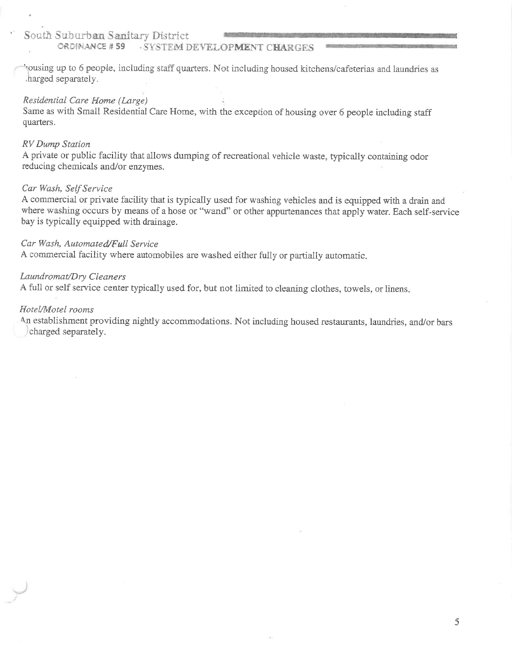#### ORDINANCE #59 - SYSTEM DEVELOPMENT CHARGES

pousing up to 6 people, including staff quarters. Not including housed kitchens/cafeterias and laundries as harged separately.

#### Residential Care Home (Large)

Same as with Small Residential Care Home, with the exception of housing over 6 people including staff quarters.

#### **RV** Dump Station

A private or public facility that allows dumping of recreational vehicle waste, typically containing odor reducing chemicals and/or enzymes.

#### Car Wash, Self Service

A commercial or private facility that is typically used for washing vehicles and is equipped with a drain and where washing occurs by means of a hose or "wand" or other appurtenances that apply water. Each self-service bay is typically equipped with drainage.

#### Car Wash, Automated/Full Service

A commercial facility where automobiles are washed either fully or partially automatic.

#### Laundromat/Dry Cleaners

A full or self service center typically used for, but not limited to cleaning clothes, towels, or linens,

#### Hotel/Motel rooms

An establishment providing nightly accommodations. Not including housed restaurants, laundries, and/or bars charged separately.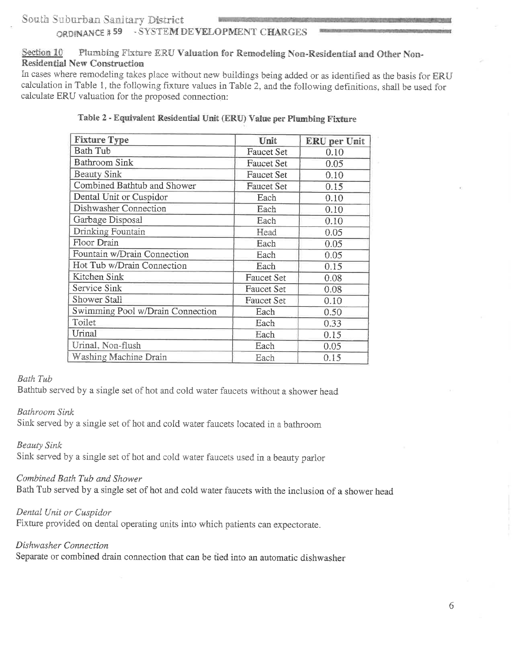# ORDINANCE #59 - SYSTEM DEVELOPMENT CHARGES

#### Section 10 Plumbing Fixture ERU Valuation for Remodeling Non-Residential and Other Non-**Residential New Construction**

In cases where remodeling takes place without new buildings being added or as identified as the basis for ERU calculation in Table 1, the following fixture values in Table 2, and the following definitions, shall be used for calculate ERU valuation for the proposed connection:

| <b>Fixture Type</b>              | Unit              | <b>ERU</b> per Unit |
|----------------------------------|-------------------|---------------------|
| <b>Bath Tub</b>                  | <b>Faucet Set</b> | 0.10                |
| <b>Bathroom Sink</b>             | <b>Faucet Set</b> | 0.05                |
| <b>Beauty Sink</b>               | <b>Faucet Set</b> | 0.10                |
| Combined Bathtub and Shower      | Faucet Set        | 0.15                |
| Dental Unit or Cuspidor          | Each              | 0.10                |
| Dishwasher Connection            | Each              | 0.10                |
| Garbage Disposal                 | Each              | 0.10                |
| Drinking Fountain                | Head              | 0.05                |
| Floor Drain                      | Each              | 0.05                |
| Fountain w/Drain Connection      | Each              | 0.05                |
| Hot Tub w/Drain Connection       | Each              | 0.15                |
| Kitchen Sink                     | Faucet Set        | 0.08                |
| Service Sink                     | <b>Faucet Set</b> | 0.08                |
| Shower Stall                     | Faucet Set        | 0.10                |
| Swimming Pool w/Drain Connection | Each              | 0.50                |
| Toilet                           | Each              | 0.33                |
| Urinal                           | Each              | 0.15                |
| Urinal, Non-flush                | Each              | 0.05                |
| Washing Machine Drain            | Each              | 0.15                |

### Table 2 - Equivalent Residential Unit (ERU) Value per Plumbing Fixture

#### **Bath Tub**

Bathtub served by a single set of hot and cold water faucets without a shower head

#### Bathroom Sink

Sink served by a single set of hot and cold water faucets located in a bathroom

**Beauty Sink** 

Sink served by a single set of hot and cold water faucets used in a beauty parlor

## Combined Bath Tub and Shower

Bath Tub served by a single set of hot and cold water faucets with the inclusion of a shower head

#### Dental Unit or Cuspidor

Fixture provided on dental operating units into which patients can expectorate.

#### Dishwasher Connection

Separate or combined drain connection that can be tied into an automatic dishwasher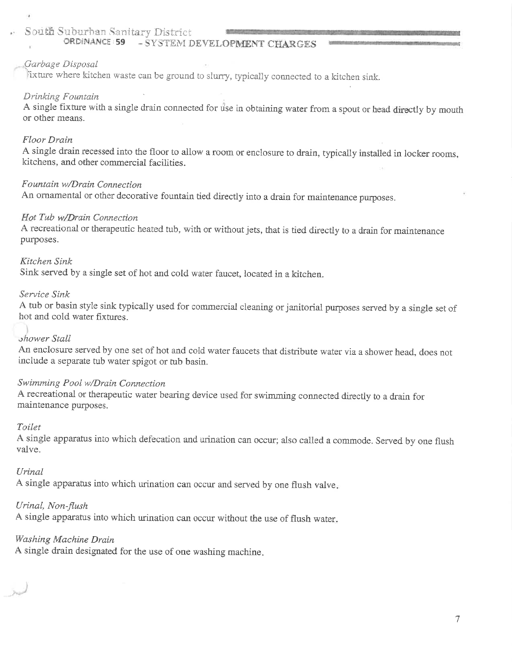#### ORDINANCE : 59 - SYSTEM DEVELOPMENT CHARGES

#### Garbage Disposal

lixture where kitchen waste can be ground to slurry, typically connected to a kitchen sink.

#### Drinking Fountain

A single fixture with a single drain connected for use in obtaining water from a spout or head directly by mouth or other means.

#### Floor Drain

A single drain recessed into the floor to allow a room or enclosure to drain, typically installed in locker rooms, kitchens, and other commercial facilities.

# Fountain w/Drain Connection

An ornamental or other decorative fountain tied directly into a drain for maintenance purposes.

### Hot Tub w/Drain Connection

A recreational or therapeutic heated tub, with or without jets, that is tied directly to a drain for maintenance purposes.

#### Kitchen Sink

Sink served by a single set of hot and cold water faucet, located in a kitchen.

#### Service Sink

A tub or basin style sink typically used for commercial cleaning or janitorial purposes served by a single set of hot and cold water fixtures.

#### shower Stall

An enclosure served by one set of hot and cold water faucets that distribute water via a shower head, does not include a separate tub water spigot or tub basin.

### Swimming Pool w/Drain Connection

A recreational or therapeutic water bearing device used for swimming connected directly to a drain for maintenance purposes.

#### Toilet

A single apparatus into which defecation and urination can occur; also called a commode. Served by one flush valve.

#### Urinal

A single apparatus into which urination can occur and served by one flush valve.

#### Urinal, Non-flush

A single apparatus into which urination can occur without the use of flush water.

### Washing Machine Drain

A single drain designated for the use of one washing machine.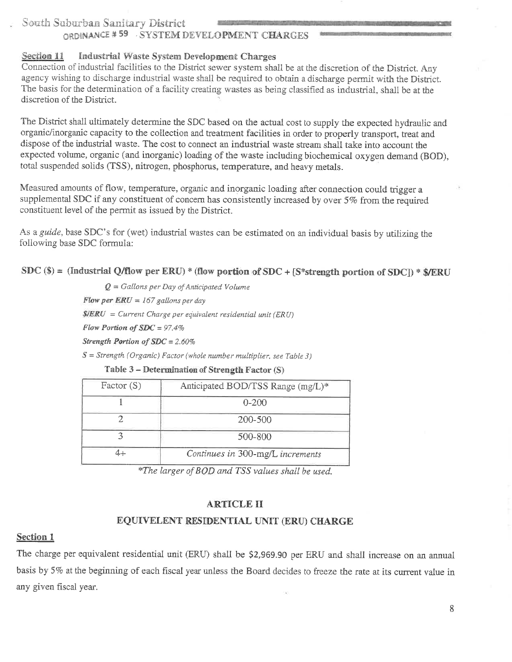# ORDINANCE #59 SYSTEM DEVELOPMENT CHARGES

#### **Industrial Waste System Development Charges** Section 11

Connection of industrial facilities to the District sewer system shall be at the discretion of the District. Any agency wishing to discharge industrial waste shall be required to obtain a discharge permit with the District. The basis for the determination of a facility creating wastes as being classified as industrial, shall be at the discretion of the District.

The District shall ultimately determine the SDC based on the actual cost to supply the expected hydraulic and organic/inorganic capacity to the collection and treatment facilities in order to properly transport, treat and dispose of the industrial waste. The cost to connect an industrial waste stream shall take into account the expected volume, organic (and inorganic) loading of the waste including biochemical oxygen demand (BOD), total suspended solids (TSS), nitrogen, phosphorus, temperature, and heavy metals.

Measured amounts of flow, temperature, organic and inorganic loading after connection could trigger a supplemental SDC if any constituent of concern has consistently increased by over 5% from the required constituent level of the permit as issued by the District.

As a guide, base SDC's for (wet) industrial wastes can be estimated on an individual basis by utilizing the following base SDC formula:

SDC (\$) = (Industrial Q/flow per ERU) \* (flow portion of SDC + [S\*strength portion of SDC]) \* \$/ERU

 $Q =$  Gallons per Day of Anticipated Volume Flow per  $ERU = 167$  gallons per day

 $S/ERU = Current Charge per equivalent residual unit (ERU)$ 

Flow Portion of  $SDC = 97.4\%$ 

Strength Portion of  $SDC = 2.60\%$ 

 $S =$  Strength (Organic) Factor (whole number multiplier, see Table 3)

| Factor $(S)$ | Anticipated BOD/TSS Range (mg/L)* |
|--------------|-----------------------------------|
|              | $0 - 200$                         |
|              | 200-500                           |
|              | 500-800                           |
|              | Continues in 300-mg/L increments  |

#### Table 3 – Determination of Strength Factor (S)

\*The larger of BOD and TSS values shall be used.

#### **ARTICLE II**

#### EQUIVELENT RESIDENTIAL UNIT (ERU) CHARGE

#### **Section 1**

The charge per equivalent residential unit (ERU) shall be \$2,969.90 per ERU and shall increase on an annual basis by 5% at the beginning of each fiscal year unless the Board decides to freeze the rate at its current value in any given fiscal year.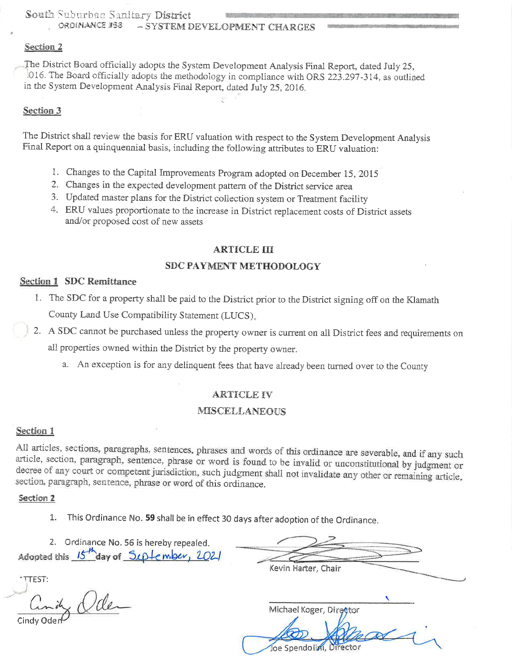ORDINANCE #58 - SYSTEM DEVELOPMENT CHARGES

### Section<sub>2</sub>

The District Board officially adopts the System Development Analysis Final Report, dated July 25, 016. The Board officially adopts the methodology in compliance with ORS 223.297-314, as outlined in the System Development Analysis Final Report, dated July 25, 2016.

### Section 3

The District shall review the basis for ERU valuation with respect to the System Development Analysis Final Report on a quinquennial basis, including the following attributes to ERU valuation:

- 1. Changes to the Capital Improvements Program adopted on December 15, 2015
- 2. Changes in the expected development pattern of the District service area
- 3. Updated master plans for the District collection system or Treatment facility
- 4. ERU values proportionate to the increase in District replacement costs of District assets and/or proposed cost of new assets

### **ARTICLE III**

### **SDC PAYMENT METHODOLOGY**

### **Section 1 SDC Remittance**

- 1. The SDC for a property shall be paid to the District prior to the District signing off on the Klamath County Land Use Compatibility Statement (LUCS).
- 2. A SDC cannot be purchased unless the property owner is current on all District fees and requirements on all properties owned within the District by the property owner.
	- a. An exception is for any delinquent fees that have already been turned over to the County

## **ARTICLE IV**

#### **MISCELLANEOUS**

## Section 1

All articles, sections, paragraphs, sentences, phrases and words of this ordinance are severable, and if any such article, section, paragraph, sentence, phrase or word is found to be invalid or unconstitutional by judgment or decree of any court or competent jurisdiction, such judgment shall not invalidate any other or remaining article, section, paragraph, sentence, phrase or word of this ordinance.

### Section 2

- This Ordinance No. 59 shall be in effect 30 days after adoption of the Ordinance. 1.
- 2. Ordinance No. 56 is hereby repealed. Adopted this  $15<sup>th</sup>$  day of  $5L +$ ember,  $202$

**TTEST:** 

× Vder

Kevin Harter, Chair

Michael Koger, Dir<del>ot</del>tor

loe Spendolini, Director